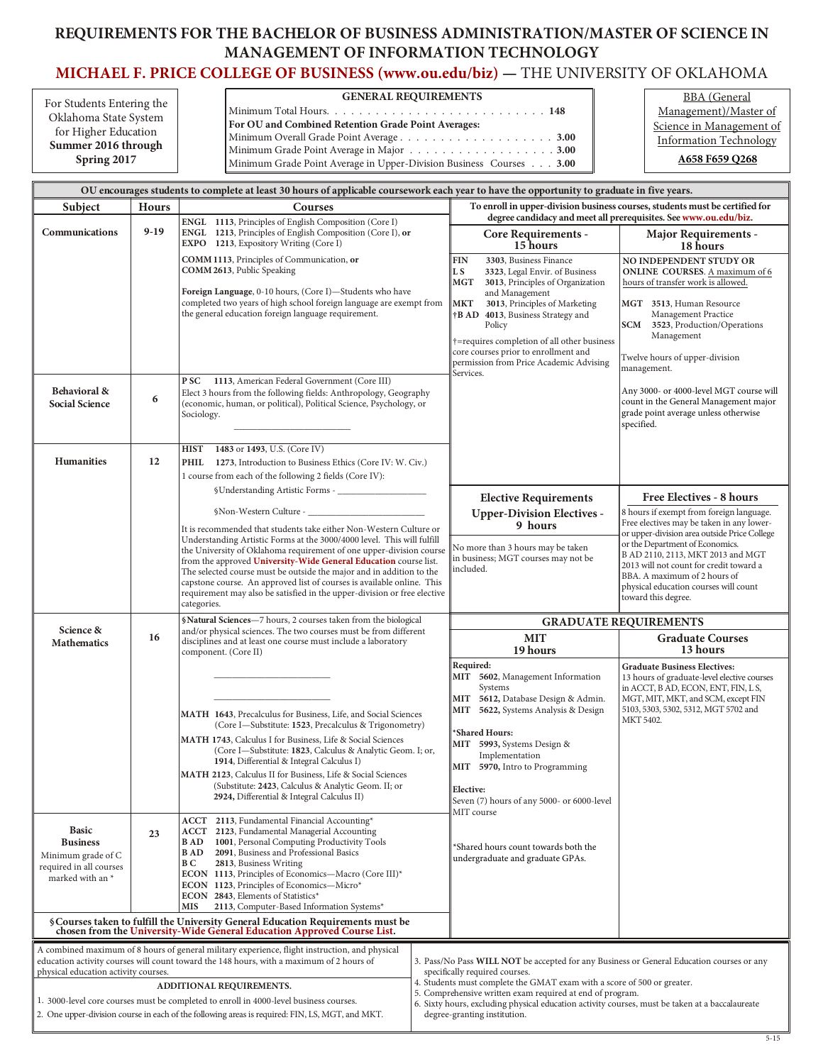## REQUIREMENTS FOR THE BACHELOR OF BUSINESS ADMINISTRATION/MASTER OF SCIENCE IN **MANAGEMENT OF INFORMATION TECHNOLOGY**

## **MICHAEL [F. PRICE COLLEGE OF BUSINESS \(www.ou.edu/biz\)](http://price.ou.edu/ugrad/) — THE UNIVERSITY OF OKLAHOMA**

| For Students Entering the | <b>GENERAL REQUIREMENTS</b>                                                                                      | <b>BBA</b> (General           |
|---------------------------|------------------------------------------------------------------------------------------------------------------|-------------------------------|
| Oklahoma State System     |                                                                                                                  | Management)/Master of         |
| for Higher Education      | For OU and Combined Retention Grade Point Averages:                                                              | Science in Management of      |
| Summer 2016 through       |                                                                                                                  | <b>Information Technology</b> |
| Spring 2017               | Minimum Grade Point Average in Major 3.00<br>Minimum Grade Point Average in Upper-Division Business Courses 3.00 | A658 F659 Q268                |

| OU encourages students to complete at least 30 hours of applicable coursework each year to have the opportunity to graduate in five years.                                                                                         |              |                                                                                                                                                                                                                                                                                                                                                                                                                                                                                                                             |                                                                                                                                                                                              |                                                                                                                                                                                                                                                                                                                                                                               |                                                                                                                                                                                                                                                                |  |
|------------------------------------------------------------------------------------------------------------------------------------------------------------------------------------------------------------------------------------|--------------|-----------------------------------------------------------------------------------------------------------------------------------------------------------------------------------------------------------------------------------------------------------------------------------------------------------------------------------------------------------------------------------------------------------------------------------------------------------------------------------------------------------------------------|----------------------------------------------------------------------------------------------------------------------------------------------------------------------------------------------|-------------------------------------------------------------------------------------------------------------------------------------------------------------------------------------------------------------------------------------------------------------------------------------------------------------------------------------------------------------------------------|----------------------------------------------------------------------------------------------------------------------------------------------------------------------------------------------------------------------------------------------------------------|--|
| Subject                                                                                                                                                                                                                            | <b>Hours</b> | Courses                                                                                                                                                                                                                                                                                                                                                                                                                                                                                                                     | To enroll in upper-division business courses, students must be certified for<br>degree candidacy and meet all prerequisites. See www.ou.edu/biz.                                             |                                                                                                                                                                                                                                                                                                                                                                               |                                                                                                                                                                                                                                                                |  |
| Communications                                                                                                                                                                                                                     | $9-19$       | ENGL 1113, Principles of English Composition (Core I)<br>ENGL 1213, Principles of English Composition (Core I), or<br>EXPO 1213, Expository Writing (Core I)                                                                                                                                                                                                                                                                                                                                                                |                                                                                                                                                                                              | <b>Core Requirements -</b><br>15 hours                                                                                                                                                                                                                                                                                                                                        | <b>Major Requirements -</b><br>18 hours                                                                                                                                                                                                                        |  |
|                                                                                                                                                                                                                                    |              | COMM 1113, Principles of Communication, or<br>COMM 2613, Public Speaking<br>Foreign Language, 0-10 hours, (Core I)-Students who have<br>completed two years of high school foreign language are exempt from<br>the general education foreign language requirement.                                                                                                                                                                                                                                                          |                                                                                                                                                                                              | 3303, Business Finance<br><b>FIN</b><br>L S<br>3323, Legal Envir. of Business<br>MGT<br>3013, Principles of Organization<br>and Management<br><b>MKT</b><br>3013, Principles of Marketing<br>†B AD<br>4013, Business Strategy and<br>Policy<br>†=requires completion of all other business<br>core courses prior to enrollment and<br>permission from Price Academic Advising | NO INDEPENDENT STUDY OR<br><b>ONLINE COURSES.</b> A maximum of 6<br>hours of transfer work is allowed.<br>MGT 3513, Human Resource<br>Management Practice<br>SCM<br>3523, Production/Operations<br>Management<br>Twelve hours of upper-division<br>management. |  |
| Behavioral &<br><b>Social Science</b>                                                                                                                                                                                              | 6            | P SC<br>1113, American Federal Government (Core III)<br>Elect 3 hours from the following fields: Anthropology, Geography<br>(economic, human, or political), Political Science, Psychology, or<br>Sociology.<br>1483 or 1493, U.S. (Core IV)<br>HIST                                                                                                                                                                                                                                                                        |                                                                                                                                                                                              | Services.                                                                                                                                                                                                                                                                                                                                                                     | Any 3000- or 4000-level MGT course will<br>count in the General Management major<br>grade point average unless otherwise<br>specified.                                                                                                                         |  |
| Humanities                                                                                                                                                                                                                         | 12           | PHIL<br>1273, Introduction to Business Ethics (Core IV: W. Civ.)<br>1 course from each of the following 2 fields (Core IV):                                                                                                                                                                                                                                                                                                                                                                                                 |                                                                                                                                                                                              |                                                                                                                                                                                                                                                                                                                                                                               |                                                                                                                                                                                                                                                                |  |
|                                                                                                                                                                                                                                    |              |                                                                                                                                                                                                                                                                                                                                                                                                                                                                                                                             |                                                                                                                                                                                              | <b>Elective Requirements</b>                                                                                                                                                                                                                                                                                                                                                  | Free Electives - 8 hours                                                                                                                                                                                                                                       |  |
|                                                                                                                                                                                                                                    |              | It is recommended that students take either Non-Western Culture or<br>Understanding Artistic Forms at the 3000/4000 level. This will fulfill                                                                                                                                                                                                                                                                                                                                                                                |                                                                                                                                                                                              | <b>Upper-Division Electives -</b><br>9 hours                                                                                                                                                                                                                                                                                                                                  | 8 hours if exempt from foreign language.<br>Free electives may be taken in any lower-<br>or upper-division area outside Price College                                                                                                                          |  |
|                                                                                                                                                                                                                                    |              | the University of Oklahoma requirement of one upper-division course<br>from the approved University-Wide General Education course list.<br>The selected course must be outside the major and in addition to the<br>capstone course. An approved list of courses is available online. This<br>requirement may also be satisfied in the upper-division or free elective<br>categories.                                                                                                                                        |                                                                                                                                                                                              | No more than 3 hours may be taken<br>in business; MGT courses may not be<br>included.                                                                                                                                                                                                                                                                                         | or the Department of Economics.<br>B AD 2110, 2113, MKT 2013 and MGT<br>2013 will not count for credit toward a<br>BBA. A maximum of 2 hours of<br>physical education courses will count<br>toward this degree.                                                |  |
|                                                                                                                                                                                                                                    |              | §Natural Sciences-7 hours, 2 courses taken from the biological                                                                                                                                                                                                                                                                                                                                                                                                                                                              |                                                                                                                                                                                              | <b>GRADUATE REQUIREMENTS</b>                                                                                                                                                                                                                                                                                                                                                  |                                                                                                                                                                                                                                                                |  |
| Science &<br><b>Mathematics</b>                                                                                                                                                                                                    | 16           | and/or physical sciences. The two courses must be from different<br>disciplines and at least one course must include a laboratory<br>component. (Core II)                                                                                                                                                                                                                                                                                                                                                                   |                                                                                                                                                                                              | <b>MIT</b><br>19 hours                                                                                                                                                                                                                                                                                                                                                        | <b>Graduate Courses</b><br>13 hours                                                                                                                                                                                                                            |  |
|                                                                                                                                                                                                                                    |              | MATH 1643, Precalculus for Business, Life, and Social Sciences<br>(Core I-Substitute: 1523, Precalculus & Trigonometry)<br>MATH 1743, Calculus I for Business, Life & Social Sciences<br>(Core I-Substitute: 1823, Calculus & Analytic Geom. I; or,<br>1914, Differential & Integral Calculus I)<br>MATH 2123, Calculus II for Business, Life & Social Sciences<br>(Substitute: 2423, Calculus & Analytic Geom. II; or<br>2924, Differential & Integral Calculus II)<br><b>ACCT</b> 2113, Fundamental Financial Accounting* |                                                                                                                                                                                              | Required:<br>MIT 5602, Management Information<br>Systems<br>MIT 5612, Database Design & Admin.<br>MIT 5622, Systems Analysis & Design<br>*Shared Hours:<br>MIT 5993, Systems Design &<br>Implementation<br>MIT 5970, Intro to Programming<br>Elective:<br>Seven (7) hours of any 5000- or 6000-level<br>MIT course                                                            | <b>Graduate Business Electives:</b><br>13 hours of graduate-level elective courses<br>in ACCT, B AD, ECON, ENT, FIN, L S,<br>MGT, MIT, MKT, and SCM, except FIN<br>5103, 5303, 5302, 5312, MGT 5702 and<br>MKT 5402.                                           |  |
| <b>Basic</b><br><b>Business</b><br>Minimum grade of C<br>required in all courses<br>marked with an *                                                                                                                               | 23           | ACCT 2123, Fundamental Managerial Accounting<br>1001, Personal Computing Productivity Tools<br><b>BAD</b><br><b>BAD</b><br>2091, Business and Professional Basics<br>BС<br>2813, Business Writing<br><b>ECON</b> 1113, Principles of Economics-Macro (Core III)*<br>ECON 1123, Principles of Economics-Micro*<br>ECON 2843, Elements of Statistics*<br><b>MIS</b><br>2113, Computer-Based Information Systems*                                                                                                              |                                                                                                                                                                                              | *Shared hours count towards both the<br>undergraduate and graduate GPAs.                                                                                                                                                                                                                                                                                                      |                                                                                                                                                                                                                                                                |  |
|                                                                                                                                                                                                                                    |              | § Courses taken to fulfill the University General Education Requirements must be<br>chosen from the University-Wide General Education Approved Course List.                                                                                                                                                                                                                                                                                                                                                                 |                                                                                                                                                                                              |                                                                                                                                                                                                                                                                                                                                                                               |                                                                                                                                                                                                                                                                |  |
| A combined maximum of 8 hours of general military experience, flight instruction, and physical<br>education activity courses will count toward the 148 hours, with a maximum of 2 hours of<br>physical education activity courses. |              |                                                                                                                                                                                                                                                                                                                                                                                                                                                                                                                             |                                                                                                                                                                                              | 3. Pass/No Pass WILL NOT be accepted for any Business or General Education courses or any<br>specifically required courses.<br>4. Students must complete the GMAT exam with a score of 500 or greater.                                                                                                                                                                        |                                                                                                                                                                                                                                                                |  |
| ADDITIONAL REQUIREMENTS.<br>1. 3000-level core courses must be completed to enroll in 4000-level business courses.<br>2. One upper-division course in each of the following areas is required: FIN, LS, MGT, and MKT.              |              |                                                                                                                                                                                                                                                                                                                                                                                                                                                                                                                             | 5. Comprehensive written exam required at end of program.<br>6. Sixty hours, excluding physical education activity courses, must be taken at a baccalaureate<br>degree-granting institution. |                                                                                                                                                                                                                                                                                                                                                                               |                                                                                                                                                                                                                                                                |  |